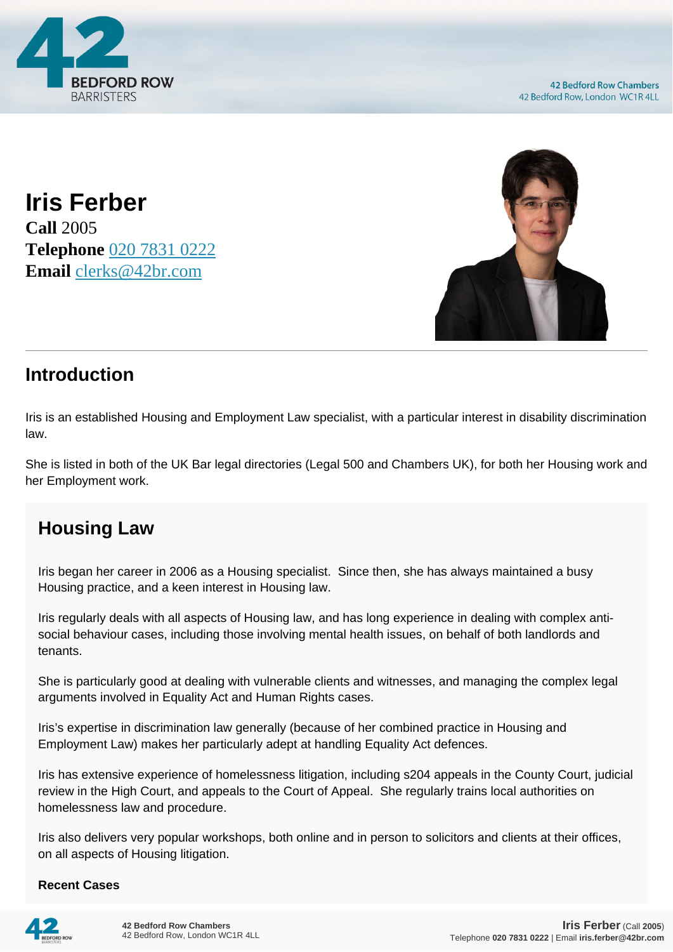

**Iris Ferber Call** 2005 **Telephone** [020 7831 0222](https://pdf.codeshore.co/_42br/tel:020 7831 0222) **Email** [clerks@42br.com](mailto:clerks@42br.com)



## **Introduction**

Iris is an established Housing and Employment Law specialist, with a particular interest in disability discrimination law.

She is listed in both of the UK Bar legal directories (Legal 500 and Chambers UK), for both her Housing work and her Employment work.

## **Housing Law**

Iris began her career in 2006 as a Housing specialist. Since then, she has always maintained a busy Housing practice, and a keen interest in Housing law.

Iris regularly deals with all aspects of Housing law, and has long experience in dealing with complex antisocial behaviour cases, including those involving mental health issues, on behalf of both landlords and tenants.

She is particularly good at dealing with vulnerable clients and witnesses, and managing the complex legal arguments involved in Equality Act and Human Rights cases.

Iris's expertise in discrimination law generally (because of her combined practice in Housing and Employment Law) makes her particularly adept at handling Equality Act defences.

Iris has extensive experience of homelessness litigation, including s204 appeals in the County Court, judicial review in the High Court, and appeals to the Court of Appeal. She regularly trains local authorities on homelessness law and procedure.

Iris also delivers very popular workshops, both online and in person to solicitors and clients at their offices, on all aspects of Housing litigation.

## **Recent Cases**